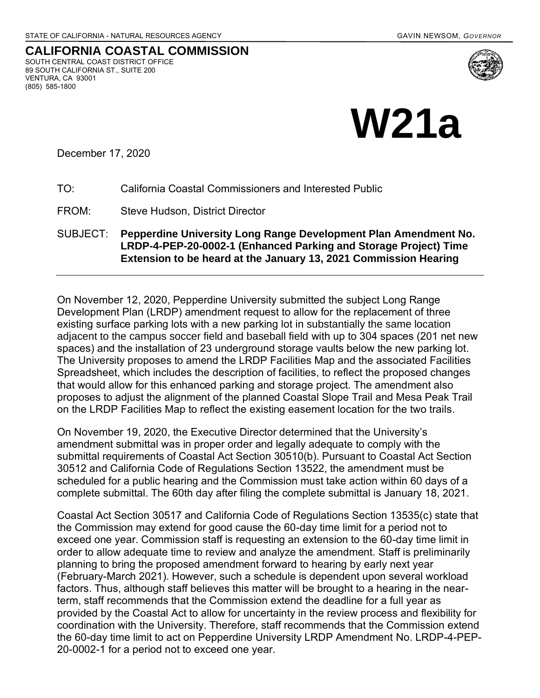

**CALIFORNIA COASTAL COMMISSION** SOUTH CENTRAL COAST DISTRICT OFFICE 89 SOUTH CALIFORNIA ST., SUITE 200 VENTURA, CA 93001 (805) 585-1800



December 17, 2020

- TO: California Coastal Commissioners and Interested Public
- FROM: Steve Hudson, District Director
- SUBJECT: **Pepperdine University Long Range Development Plan Amendment No. LRDP-4-PEP-20-0002-1 (Enhanced Parking and Storage Project) Time Extension to be heard at the January 13, 2021 Commission Hearing**

On November 12, 2020, Pepperdine University submitted the subject Long Range Development Plan (LRDP) amendment request to allow for the replacement of three existing surface parking lots with a new parking lot in substantially the same location adjacent to the campus soccer field and baseball field with up to 304 spaces (201 net new spaces) and the installation of 23 underground storage vaults below the new parking lot. The University proposes to amend the LRDP Facilities Map and the associated Facilities Spreadsheet, which includes the description of facilities, to reflect the proposed changes that would allow for this enhanced parking and storage project. The amendment also proposes to adjust the alignment of the planned Coastal Slope Trail and Mesa Peak Trail on the LRDP Facilities Map to reflect the existing easement location for the two trails.

On November 19, 2020, the Executive Director determined that the University's amendment submittal was in proper order and legally adequate to comply with the submittal requirements of Coastal Act Section 30510(b). Pursuant to Coastal Act Section 30512 and California Code of Regulations Section 13522, the amendment must be scheduled for a public hearing and the Commission must take action within 60 days of a complete submittal. The 60th day after filing the complete submittal is January 18, 2021.

Coastal Act Section 30517 and California Code of Regulations Section 13535(c) state that the Commission may extend for good cause the 60-day time limit for a period not to exceed one year. Commission staff is requesting an extension to the 60-day time limit in order to allow adequate time to review and analyze the amendment. Staff is preliminarily planning to bring the proposed amendment forward to hearing by early next year (February-March 2021). However, such a schedule is dependent upon several workload factors. Thus, although staff believes this matter will be brought to a hearing in the nearterm, staff recommends that the Commission extend the deadline for a full year as provided by the Coastal Act to allow for uncertainty in the review process and flexibility for coordination with the University. Therefore, staff recommends that the Commission extend the 60-day time limit to act on Pepperdine University LRDP Amendment No. LRDP-4-PEP-20-0002-1 for a period not to exceed one year.